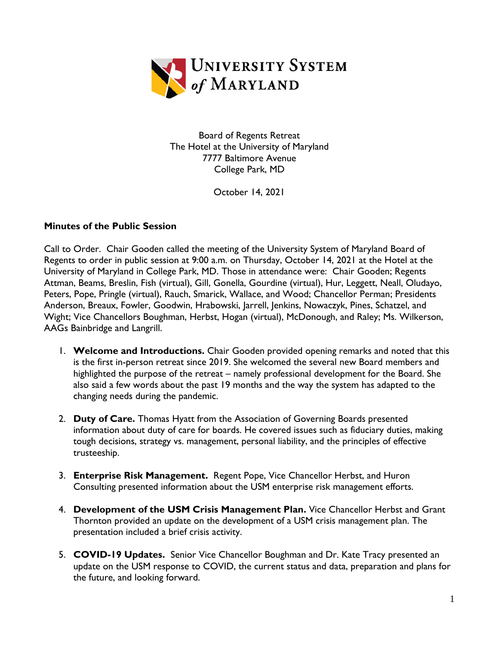

Board of Regents Retreat The Hotel at the University of Maryland 7777 Baltimore Avenue College Park, MD

October 14, 2021

## **Minutes of the Public Session**

Call to Order. Chair Gooden called the meeting of the University System of Maryland Board of Regents to order in public session at 9:00 a.m. on Thursday, October 14, 2021 at the Hotel at the University of Maryland in College Park, MD. Those in attendance were: Chair Gooden; Regents Attman, Beams, Breslin, Fish (virtual), Gill, Gonella, Gourdine (virtual), Hur, Leggett, Neall, Oludayo, Peters, Pope, Pringle (virtual), Rauch, Smarick, Wallace, and Wood; Chancellor Perman; Presidents Anderson, Breaux, Fowler, Goodwin, Hrabowski, Jarrell, Jenkins, Nowaczyk, Pines, Schatzel, and Wight; Vice Chancellors Boughman, Herbst, Hogan (virtual), McDonough, and Raley; Ms. Wilkerson, AAGs Bainbridge and Langrill.

- 1. **Welcome and Introductions.** Chair Gooden provided opening remarks and noted that this is the first in-person retreat since 2019. She welcomed the several new Board members and highlighted the purpose of the retreat – namely professional development for the Board. She also said a few words about the past 19 months and the way the system has adapted to the changing needs during the pandemic.
- 2. **Duty of Care.** Thomas Hyatt from the Association of Governing Boards presented information about duty of care for boards. He covered issues such as fiduciary duties, making tough decisions, strategy vs. management, personal liability, and the principles of effective trusteeship.
- 3. **Enterprise Risk Management.** Regent Pope, Vice Chancellor Herbst, and Huron Consulting presented information about the USM enterprise risk management efforts.
- 4. **Development of the USM Crisis Management Plan.** Vice Chancellor Herbst and Grant Thornton provided an update on the development of a USM crisis management plan. The presentation included a brief crisis activity.
- 5. **COVID-19 Updates.** Senior Vice Chancellor Boughman and Dr. Kate Tracy presented an update on the USM response to COVID, the current status and data, preparation and plans for the future, and looking forward.